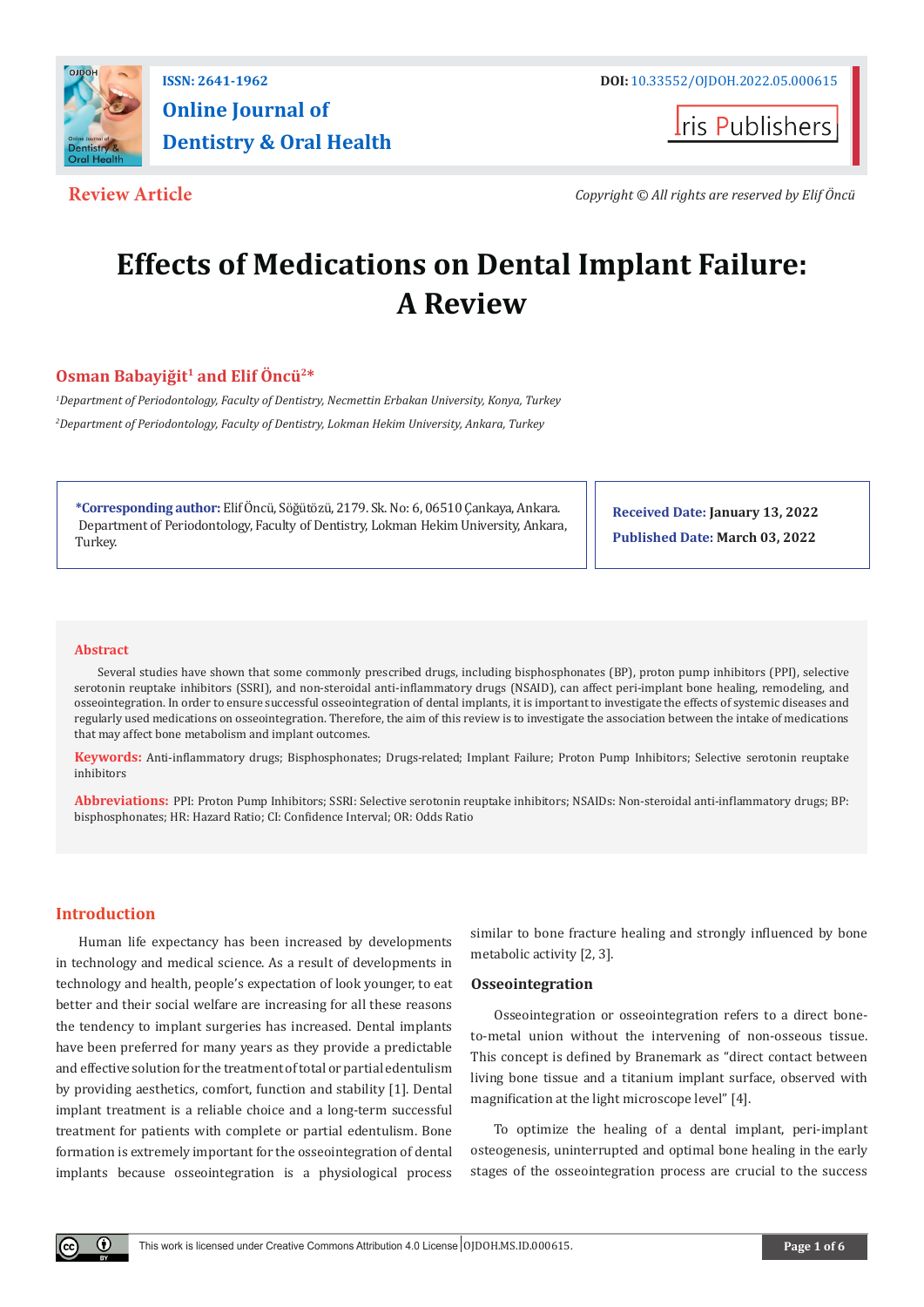

# **Online Journal of Dentistry & Oral Health**

**Iris Publishers** 

**Review Article** *Copyright © All rights are reserved by Elif Öncü*

## **Effects of Medications on Dental Implant Failure: A Review**

### **Osman Babayiğit1 and Elif Öncü2\***

*1 Department of Periodontology, Faculty of Dentistry, Necmettin Erbakan University, Konya, Turkey 2 Department of Periodontology, Faculty of Dentistry, Lokman Hekim University, Ankara, Turkey*

**\*Corresponding author:** Elif Öncü, Söğütözü, 2179. Sk. No: 6, 06510 Çankaya, Ankara. Department of Periodontology, Faculty of Dentistry, Lokman Hekim University, Ankara, Turkey.

**Received Date: January 13, 2022 Published Date: March 03, 2022**

#### **Abstract**

Several studies have shown that some commonly prescribed drugs, including bisphosphonates (BP), proton pump inhibitors (PPI), selective serotonin reuptake inhibitors (SSRI), and non-steroidal anti-inflammatory drugs (NSAID), can affect peri-implant bone healing, remodeling, and osseointegration. In order to ensure successful osseointegration of dental implants, it is important to investigate the effects of systemic diseases and regularly used medications on osseointegration. Therefore, the aim of this review is to investigate the association between the intake of medications that may affect bone metabolism and implant outcomes.

**Keywords:** Anti-inflammatory drugs; Bisphosphonates; Drugs-related; Implant Failure; Proton Pump Inhibitors; Selective serotonin reuptake inhibitors

**Abbreviations:** PPI: Proton Pump Inhibitors; SSRI: Selective serotonin reuptake inhibitors; NSAIDs: Non-steroidal anti-inflammatory drugs; BP: bisphosphonates; HR: Hazard Ratio; CI: Confidence Interval; OR: Odds Ratio

#### **Introduction**

 $_{\odot}$ 

Human life expectancy has been increased by developments in technology and medical science. As a result of developments in technology and health, people's expectation of look younger, to eat better and their social welfare are increasing for all these reasons the tendency to implant surgeries has increased. Dental implants have been preferred for many years as they provide a predictable and effective solution for the treatment of total or partial edentulism by providing aesthetics, comfort, function and stability [1]. Dental implant treatment is a reliable choice and a long-term successful treatment for patients with complete or partial edentulism. Bone formation is extremely important for the osseointegration of dental implants because osseointegration is a physiological process

similar to bone fracture healing and strongly influenced by bone metabolic activity [2, 3].

#### **Osseointegration**

Osseointegration or osseointegration refers to a direct boneto-metal union without the intervening of non-osseous tissue. This concept is defined by Branemark as "direct contact between living bone tissue and a titanium implant surface, observed with magnification at the light microscope level" [4].

To optimize the healing of a dental implant, peri-implant osteogenesis, uninterrupted and optimal bone healing in the early stages of the osseointegration process are crucial to the success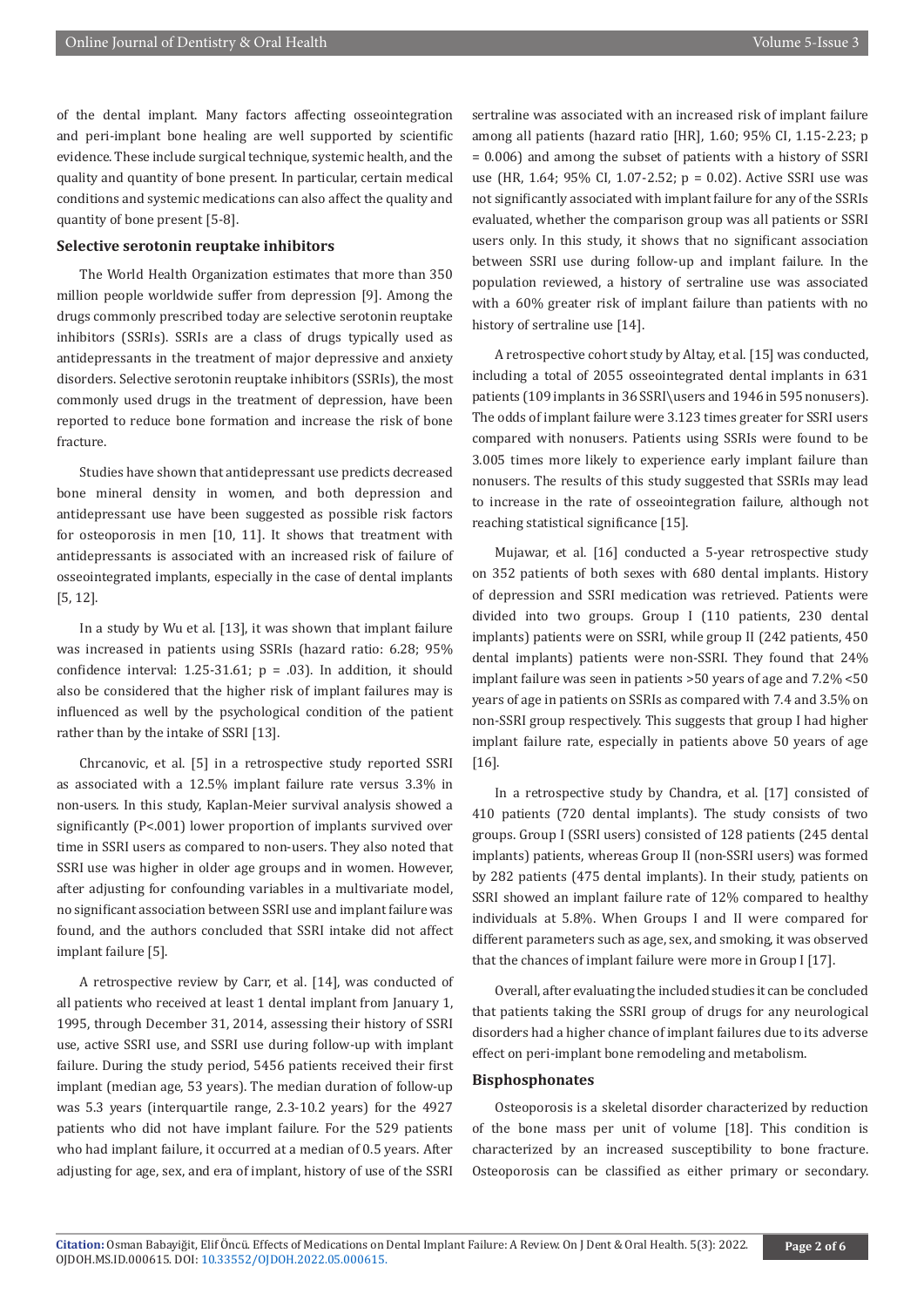of the dental implant. Many factors affecting osseointegration and peri-implant bone healing are well supported by scientific evidence. These include surgical technique, systemic health, and the quality and quantity of bone present. In particular, certain medical conditions and systemic medications can also affect the quality and quantity of bone present [5-8].

#### **Selective serotonin reuptake inhibitors**

The World Health Organization estimates that more than 350 million people worldwide suffer from depression [9]. Among the drugs commonly prescribed today are selective serotonin reuptake inhibitors (SSRIs). SSRIs are a class of drugs typically used as antidepressants in the treatment of major depressive and anxiety disorders. Selective serotonin reuptake inhibitors (SSRIs), the most commonly used drugs in the treatment of depression, have been reported to reduce bone formation and increase the risk of bone fracture.

Studies have shown that antidepressant use predicts decreased bone mineral density in women, and both depression and antidepressant use have been suggested as possible risk factors for osteoporosis in men [10, 11]. It shows that treatment with antidepressants is associated with an increased risk of failure of osseointegrated implants, especially in the case of dental implants [5, 12].

In a study by Wu et al. [13], it was shown that implant failure was increased in patients using SSRIs (hazard ratio: 6.28; 95% confidence interval: 1.25-31.61;  $p = .03$ ). In addition, it should also be considered that the higher risk of implant failures may is influenced as well by the psychological condition of the patient rather than by the intake of SSRI [13].

Chrcanovic, et al. [5] in a retrospective study reported SSRI as associated with a 12.5% implant failure rate versus 3.3% in non-users. In this study, Kaplan-Meier survival analysis showed a significantly (P<.001) lower proportion of implants survived over time in SSRI users as compared to non-users. They also noted that SSRI use was higher in older age groups and in women. However, after adjusting for confounding variables in a multivariate model, no significant association between SSRI use and implant failure was found, and the authors concluded that SSRI intake did not affect implant failure [5].

A retrospective review by Carr, et al. [14], was conducted of all patients who received at least 1 dental implant from January 1, 1995, through December 31, 2014, assessing their history of SSRI use, active SSRI use, and SSRI use during follow-up with implant failure. During the study period, 5456 patients received their first implant (median age, 53 years). The median duration of follow-up was 5.3 years (interquartile range, 2.3-10.2 years) for the 4927 patients who did not have implant failure. For the 529 patients who had implant failure, it occurred at a median of 0.5 years. After adjusting for age, sex, and era of implant, history of use of the SSRI

sertraline was associated with an increased risk of implant failure among all patients (hazard ratio [HR], 1.60; 95% CI, 1.15-2.23; p = 0.006) and among the subset of patients with a history of SSRI use (HR, 1.64; 95% CI, 1.07-2.52; p = 0.02). Active SSRI use was not significantly associated with implant failure for any of the SSRIs evaluated, whether the comparison group was all patients or SSRI users only. In this study, it shows that no significant association between SSRI use during follow-up and implant failure. In the population reviewed, a history of sertraline use was associated with a 60% greater risk of implant failure than patients with no history of sertraline use [14].

A retrospective cohort study by Altay, et al. [15] was conducted, including a total of 2055 osseointegrated dental implants in 631 patients (109 implants in 36 SSRI\users and 1946 in 595 nonusers). The odds of implant failure were 3.123 times greater for SSRI users compared with nonusers. Patients using SSRIs were found to be 3.005 times more likely to experience early implant failure than nonusers. The results of this study suggested that SSRIs may lead to increase in the rate of osseointegration failure, although not reaching statistical significance [15].

Mujawar, et al. [16] conducted a 5-year retrospective study on 352 patients of both sexes with 680 dental implants. History of depression and SSRI medication was retrieved. Patients were divided into two groups. Group I (110 patients, 230 dental implants) patients were on SSRI, while group II (242 patients, 450 dental implants) patients were non-SSRI. They found that 24% implant failure was seen in patients >50 years of age and 7.2% <50 years of age in patients on SSRIs as compared with 7.4 and 3.5% on non-SSRI group respectively. This suggests that group I had higher implant failure rate, especially in patients above 50 years of age [16].

In a retrospective study by Chandra, et al. [17] consisted of 410 patients (720 dental implants). The study consists of two groups. Group I (SSRI users) consisted of 128 patients (245 dental implants) patients, whereas Group II (non-SSRI users) was formed by 282 patients (475 dental implants). In their study, patients on SSRI showed an implant failure rate of 12% compared to healthy individuals at 5.8%. When Groups I and II were compared for different parameters such as age, sex, and smoking, it was observed that the chances of implant failure were more in Group I [17].

Overall, after evaluating the included studies it can be concluded that patients taking the SSRI group of drugs for any neurological disorders had a higher chance of implant failures due to its adverse effect on peri-implant bone remodeling and metabolism.

#### **Bisphosphonates**

Osteoporosis is a skeletal disorder characterized by reduction of the bone mass per unit of volume [18]. This condition is characterized by an increased susceptibility to bone fracture. Osteoporosis can be classified as either primary or secondary.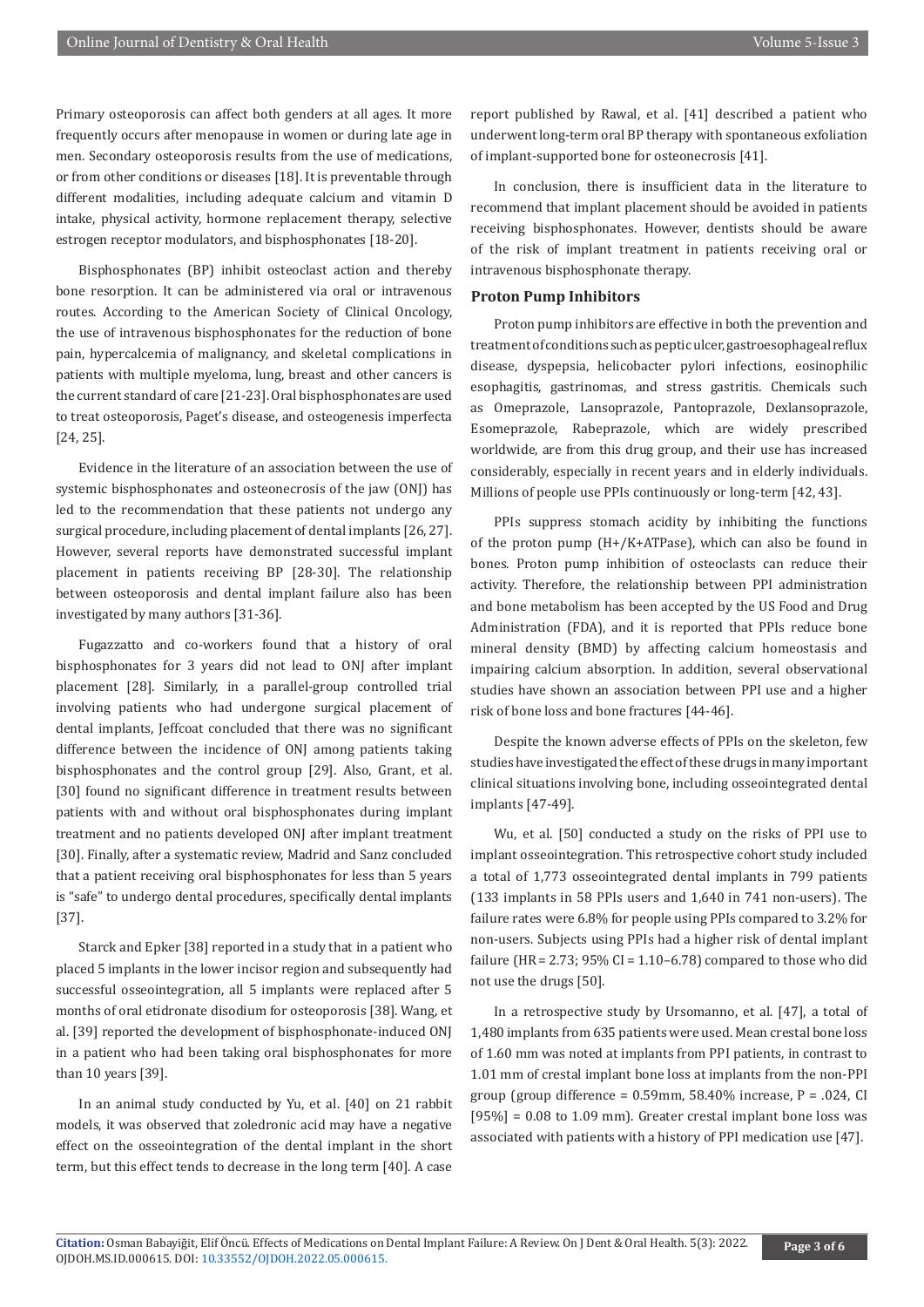Primary osteoporosis can affect both genders at all ages. It more frequently occurs after menopause in women or during late age in men. Secondary osteoporosis results from the use of medications, or from other conditions or diseases [18]. It is preventable through different modalities, including adequate calcium and vitamin D intake, physical activity, hormone replacement therapy, selective estrogen receptor modulators, and bisphosphonates [18-20].

Bisphosphonates (BP) inhibit osteoclast action and thereby bone resorption. It can be administered via oral or intravenous routes. According to the American Society of Clinical Oncology, the use of intravenous bisphosphonates for the reduction of bone pain, hypercalcemia of malignancy, and skeletal complications in patients with multiple myeloma, lung, breast and other cancers is the current standard of care [21-23]. Oral bisphosphonates are used to treat osteoporosis, Paget's disease, and osteogenesis imperfecta [24, 25].

Evidence in the literature of an association between the use of systemic bisphosphonates and osteonecrosis of the jaw (ONJ) has led to the recommendation that these patients not undergo any surgical procedure, including placement of dental implants [26, 27]. However, several reports have demonstrated successful implant placement in patients receiving BP [28-30]. The relationship between osteoporosis and dental implant failure also has been investigated by many authors [31-36].

Fugazzatto and co-workers found that a history of oral bisphosphonates for 3 years did not lead to ONJ after implant placement [28]. Similarly, in a parallel-group controlled trial involving patients who had undergone surgical placement of dental implants, Jeffcoat concluded that there was no significant difference between the incidence of ONJ among patients taking bisphosphonates and the control group [29]. Also, Grant, et al. [30] found no significant difference in treatment results between patients with and without oral bisphosphonates during implant treatment and no patients developed ONJ after implant treatment [30]. Finally, after a systematic review, Madrid and Sanz concluded that a patient receiving oral bisphosphonates for less than 5 years is "safe" to undergo dental procedures, specifically dental implants [37].

Starck and Epker [38] reported in a study that in a patient who placed 5 implants in the lower incisor region and subsequently had successful osseointegration, all 5 implants were replaced after 5 months of oral etidronate disodium for osteoporosis [38]. Wang, et al. [39] reported the development of bisphosphonate-induced ONJ in a patient who had been taking oral bisphosphonates for more than 10 years [39].

In an animal study conducted by Yu, et al. [40] on 21 rabbit models, it was observed that zoledronic acid may have a negative effect on the osseointegration of the dental implant in the short term, but this effect tends to decrease in the long term [40]. A case

report published by Rawal, et al. [41] described a patient who underwent long-term oral BP therapy with spontaneous exfoliation of implant-supported bone for osteonecrosis [41].

In conclusion, there is insufficient data in the literature to recommend that implant placement should be avoided in patients receiving bisphosphonates. However, dentists should be aware of the risk of implant treatment in patients receiving oral or intravenous bisphosphonate therapy.

#### **Proton Pump Inhibitors**

Proton pump inhibitors are effective in both the prevention and treatment of conditions such as peptic ulcer, gastroesophageal reflux disease, dyspepsia, helicobacter pylori infections, eosinophilic esophagitis, gastrinomas, and stress gastritis. Chemicals such as Omeprazole, Lansoprazole, Pantoprazole, Dexlansoprazole, Esomeprazole, Rabeprazole, which are widely prescribed worldwide, are from this drug group, and their use has increased considerably, especially in recent years and in elderly individuals. Millions of people use PPIs continuously or long-term [42, 43].

PPIs suppress stomach acidity by inhibiting the functions of the proton pump (H+/K+ATPase), which can also be found in bones. Proton pump inhibition of osteoclasts can reduce their activity. Therefore, the relationship between PPI administration and bone metabolism has been accepted by the US Food and Drug Administration (FDA), and it is reported that PPIs reduce bone mineral density (BMD) by affecting calcium homeostasis and impairing calcium absorption. In addition, several observational studies have shown an association between PPI use and a higher risk of bone loss and bone fractures [44-46].

Despite the known adverse effects of PPIs on the skeleton, few studies have investigated the effect of these drugs in many important clinical situations involving bone, including osseointegrated dental implants [47-49].

Wu, et al. [50] conducted a study on the risks of PPI use to implant osseointegration. This retrospective cohort study included a total of 1,773 osseointegrated dental implants in 799 patients (133 implants in 58 PPIs users and 1,640 in 741 non-users). The failure rates were 6.8% for people using PPIs compared to 3.2% for non-users. Subjects using PPIs had a higher risk of dental implant failure (HR = 2.73; 95% CI = 1.10–6.78) compared to those who did not use the drugs [50].

In a retrospective study by Ursomanno, et al. [47], a total of 1,480 implants from 635 patients were used. Mean crestal bone loss of 1.60 mm was noted at implants from PPI patients, in contrast to 1.01 mm of crestal implant bone loss at implants from the non-PPI group (group difference =  $0.59$ mm,  $58.40\%$  increase, P = .024, CI  $[95\%] = 0.08$  to 1.09 mm). Greater crestal implant bone loss was associated with patients with a history of PPI medication use [47].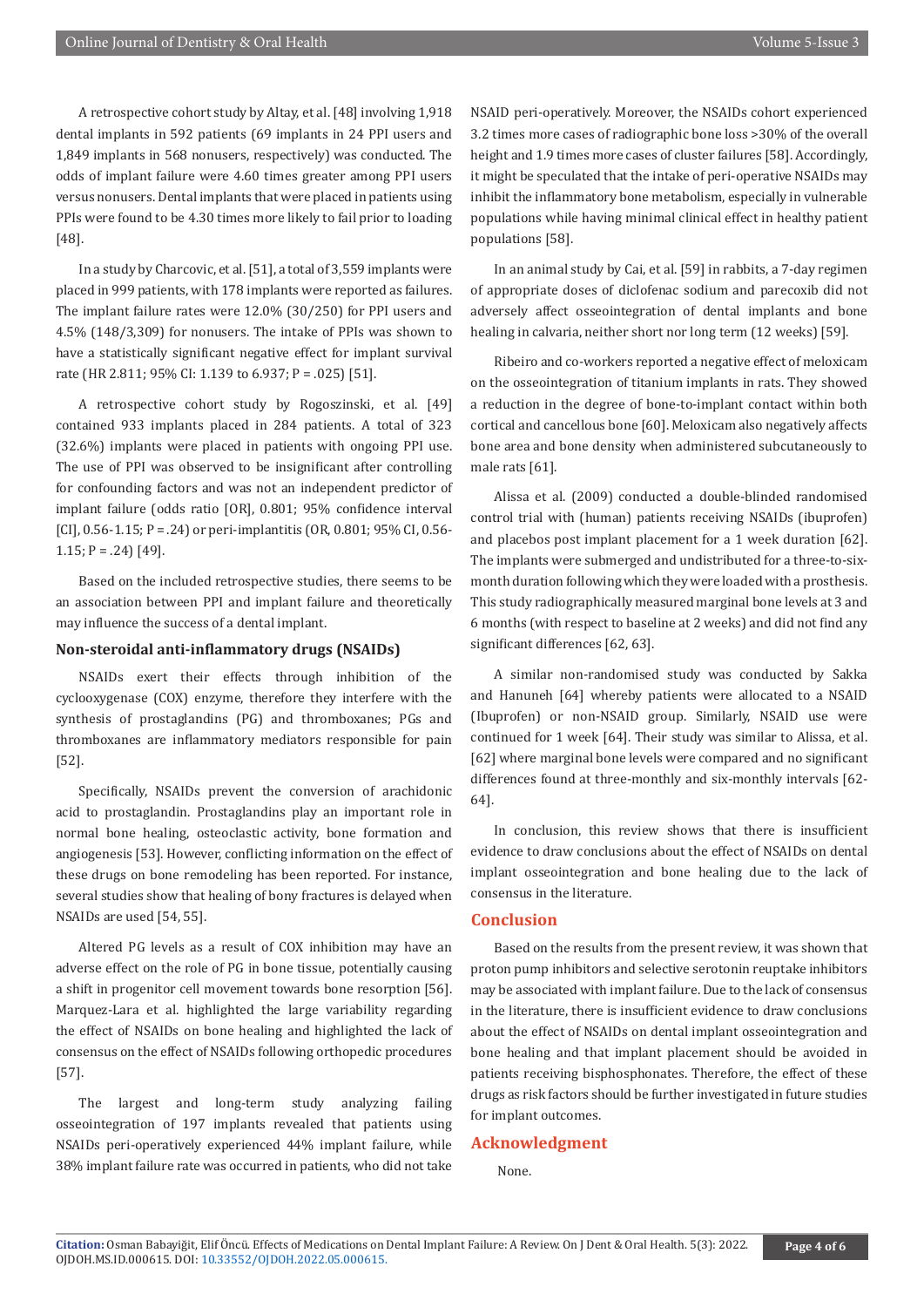A retrospective cohort study by Altay, et al. [48] involving 1,918 dental implants in 592 patients (69 implants in 24 PPI users and 1,849 implants in 568 nonusers, respectively) was conducted. The odds of implant failure were 4.60 times greater among PPI users versus nonusers. Dental implants that were placed in patients using PPIs were found to be 4.30 times more likely to fail prior to loading [48].

In a study by Charcovic, et al. [51], a total of 3,559 implants were placed in 999 patients, with 178 implants were reported as failures. The implant failure rates were 12.0% (30/250) for PPI users and 4.5% (148/3,309) for nonusers. The intake of PPIs was shown to have a statistically significant negative effect for implant survival rate (HR 2.811; 95% CI: 1.139 to 6.937; P = .025) [51].

A retrospective cohort study by Rogoszinski, et al. [49] contained 933 implants placed in 284 patients. A total of 323 (32.6%) implants were placed in patients with ongoing PPI use. The use of PPI was observed to be insignificant after controlling for confounding factors and was not an independent predictor of implant failure (odds ratio [OR], 0.801; 95% confidence interval [CI],  $0.56 - 1.15$ ; P = .24) or peri-implantitis (OR,  $0.801$ ; 95% CI, 0.56-1.15;  $P = .24$ ) [49].

Based on the included retrospective studies, there seems to be an association between PPI and implant failure and theoretically may influence the success of a dental implant.

#### **Non-steroidal anti-inflammatory drugs (NSAIDs)**

NSAIDs exert their effects through inhibition of the cyclooxygenase (COX) enzyme, therefore they interfere with the synthesis of prostaglandins (PG) and thromboxanes; PGs and thromboxanes are inflammatory mediators responsible for pain [52].

Specifically, NSAIDs prevent the conversion of arachidonic acid to prostaglandin. Prostaglandins play an important role in normal bone healing, osteoclastic activity, bone formation and angiogenesis [53]. However, conflicting information on the effect of these drugs on bone remodeling has been reported. For instance, several studies show that healing of bony fractures is delayed when NSAIDs are used [54, 55].

Altered PG levels as a result of COX inhibition may have an adverse effect on the role of PG in bone tissue, potentially causing a shift in progenitor cell movement towards bone resorption [56]. Marquez-Lara et al. highlighted the large variability regarding the effect of NSAIDs on bone healing and highlighted the lack of consensus on the effect of NSAIDs following orthopedic procedures [57].

The largest and long-term study analyzing failing osseointegration of 197 implants revealed that patients using NSAIDs peri-operatively experienced 44% implant failure, while 38% implant failure rate was occurred in patients, who did not take

NSAID peri-operatively. Moreover, the NSAIDs cohort experienced 3.2 times more cases of radiographic bone loss >30% of the overall height and 1.9 times more cases of cluster failures [58]. Accordingly, it might be speculated that the intake of peri-operative NSAIDs may inhibit the inflammatory bone metabolism, especially in vulnerable populations while having minimal clinical effect in healthy patient populations [58].

In an animal study by Cai, et al. [59] in rabbits, a 7-day regimen of appropriate doses of diclofenac sodium and parecoxib did not adversely affect osseointegration of dental implants and bone healing in calvaria, neither short nor long term (12 weeks) [59].

Ribeiro and co-workers reported a negative effect of meloxicam on the osseointegration of titanium implants in rats. They showed a reduction in the degree of bone-to-implant contact within both cortical and cancellous bone [60]. Meloxicam also negatively affects bone area and bone density when administered subcutaneously to male rats [61].

Alissa et al. (2009) conducted a double-blinded randomised control trial with (human) patients receiving NSAIDs (ibuprofen) and placebos post implant placement for a 1 week duration [62]. The implants were submerged and undistributed for a three-to-sixmonth duration following which they were loaded with a prosthesis. This study radiographically measured marginal bone levels at 3 and 6 months (with respect to baseline at 2 weeks) and did not find any significant differences [62, 63].

A similar non-randomised study was conducted by Sakka and Hanuneh [64] whereby patients were allocated to a NSAID (Ibuprofen) or non-NSAID group. Similarly, NSAID use were continued for 1 week [64]. Their study was similar to Alissa, et al. [62] where marginal bone levels were compared and no significant differences found at three-monthly and six-monthly intervals [62- 64].

In conclusion, this review shows that there is insufficient evidence to draw conclusions about the effect of NSAIDs on dental implant osseointegration and bone healing due to the lack of consensus in the literature.

#### **Conclusion**

Based on the results from the present review, it was shown that proton pump inhibitors and selective serotonin reuptake inhibitors may be associated with implant failure. Due to the lack of consensus in the literature, there is insufficient evidence to draw conclusions about the effect of NSAIDs on dental implant osseointegration and bone healing and that implant placement should be avoided in patients receiving bisphosphonates. Therefore, the effect of these drugs as risk factors should be further investigated in future studies for implant outcomes.

#### **Acknowledgment**

None.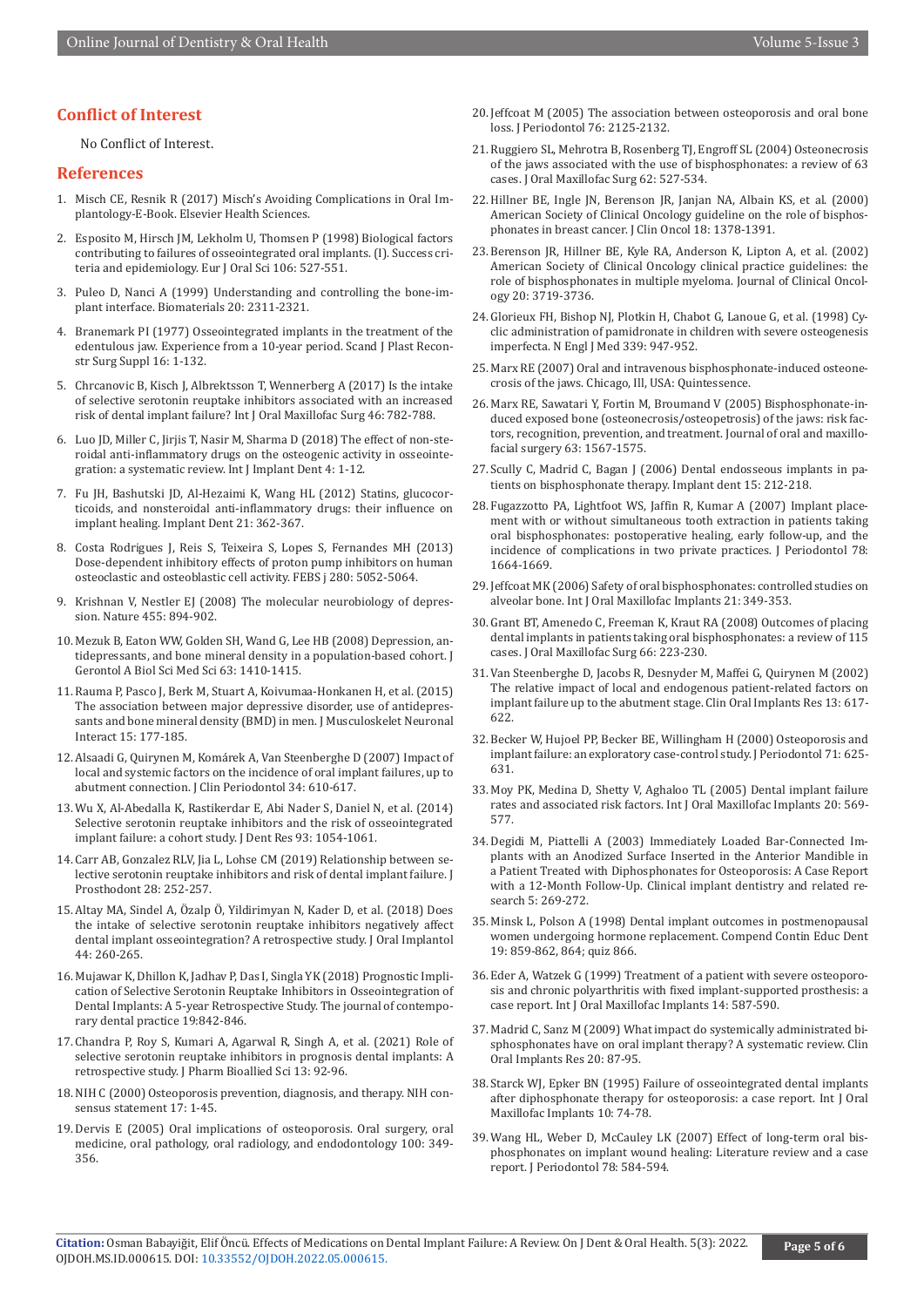#### **Conflict of Interest**

No Conflict of Interest.

#### **References**

- 1. Misch CE, Resnik R (2017) Misch's Avoiding Complications in Oral Implantology-E-Book. Elsevier Health Sciences.
- 2. [Esposito M, Hirsch JM, Lekholm U, Thomsen P \(1998\) Biological factors](https://pubmed.ncbi.nlm.nih.gov/9527353/) [contributing to failures of osseointegrated oral implants. \(I\). Success cri](https://pubmed.ncbi.nlm.nih.gov/9527353/)[teria and epidemiology. Eur J Oral Sci 106: 527-551.](https://pubmed.ncbi.nlm.nih.gov/9527353/)
- 3. [Puleo D, Nanci A \(1999\) Understanding and controlling the bone-im](https://pubmed.ncbi.nlm.nih.gov/10614937/)[plant interface. Biomaterials 20: 2311-2321.](https://pubmed.ncbi.nlm.nih.gov/10614937/)
- 4. [Branemark PI \(1977\) Osseointegrated implants in the treatment of the](https://pubmed.ncbi.nlm.nih.gov/356184/) [edentulous jaw. Experience from a 10-year period. Scand J Plast Recon](https://pubmed.ncbi.nlm.nih.gov/356184/)[str Surg Suppl 16: 1-132.](https://pubmed.ncbi.nlm.nih.gov/356184/)
- 5. [Chrcanovic B, Kisch J, Albrektsson T, Wennerberg A \(2017\) Is the intake](https://pubmed.ncbi.nlm.nih.gov/28222946/) [of selective serotonin reuptake inhibitors associated with an increased](https://pubmed.ncbi.nlm.nih.gov/28222946/) [risk of dental implant failure? Int J Oral Maxillofac Surg 46: 782-788.](https://pubmed.ncbi.nlm.nih.gov/28222946/)
- 6. [Luo JD, Miller C, Jirjis T, Nasir M, Sharma D \(2018\) The effect of non-ste](https://pubmed.ncbi.nlm.nih.gov/30298361/)[roidal anti-inflammatory drugs on the osteogenic activity in osseointe](https://pubmed.ncbi.nlm.nih.gov/30298361/)[gration: a systematic review. Int J Implant Dent 4: 1-12.](https://pubmed.ncbi.nlm.nih.gov/30298361/)
- 7. [Fu JH, Bashutski JD, Al-Hezaimi K, Wang HL \(2012\) Statins, glucocor](https://pubmed.ncbi.nlm.nih.gov/22968569/)[ticoids, and nonsteroidal anti-inflammatory drugs: their influence on](https://pubmed.ncbi.nlm.nih.gov/22968569/) [implant healing. Implant Dent 21: 362-367.](https://pubmed.ncbi.nlm.nih.gov/22968569/)
- 8. [Costa Rodrigues J, Reis S, Teixeira S, Lopes S, Fernandes MH \(2013\)](https://pubmed.ncbi.nlm.nih.gov/23937530/) [Dose‐dependent inhibitory effects of proton pump inhibitors on human](https://pubmed.ncbi.nlm.nih.gov/23937530/) [osteoclastic and osteoblastic cell activity. FEBS j 280: 5052-5064.](https://pubmed.ncbi.nlm.nih.gov/23937530/)
- 9. [Krishnan V, Nestler EJ \(2008\) The molecular neurobiology of depres](https://pubmed.ncbi.nlm.nih.gov/18923511/)[sion. Nature 455: 894-902.](https://pubmed.ncbi.nlm.nih.gov/18923511/)
- 10. [Mezuk B, Eaton WW, Golden SH, Wand G, Lee HB \(2008\) Depression, an](https://pubmed.ncbi.nlm.nih.gov/19126857/)[tidepressants, and bone mineral density in a population-based cohort. J](https://pubmed.ncbi.nlm.nih.gov/19126857/) [Gerontol A Biol Sci Med Sci 63: 1410-1415.](https://pubmed.ncbi.nlm.nih.gov/19126857/)
- 11. [Rauma P, Pasco J, Berk M, Stuart A, Koivumaa-Honkanen H, et al. \(2015\)](https://pubmed.ncbi.nlm.nih.gov/26032210/) [The association between major depressive disorder, use of antidepres](https://pubmed.ncbi.nlm.nih.gov/26032210/)[sants and bone mineral density \(BMD\) in men. J Musculoskelet Neuronal](https://pubmed.ncbi.nlm.nih.gov/26032210/) [Interact 15: 177-185.](https://pubmed.ncbi.nlm.nih.gov/26032210/)
- 12. [Alsaadi G, Quirynen M, Komárek A, Van Steenberghe D \(2007\) Impact of](https://pubmed.ncbi.nlm.nih.gov/17433044/) [local and systemic factors on the incidence of oral implant failures, up to](https://pubmed.ncbi.nlm.nih.gov/17433044/) [abutment connection. J Clin Periodontol 34: 610-617.](https://pubmed.ncbi.nlm.nih.gov/17433044/)
- 13. [Wu X, Al-Abedalla K, Rastikerdar E, Abi Nader S, Daniel N, et al. \(2014\)](https://pubmed.ncbi.nlm.nih.gov/25186831/) [Selective serotonin reuptake inhibitors and the risk of osseointegrated](https://pubmed.ncbi.nlm.nih.gov/25186831/) [implant failure: a cohort study. J Dent Res 93: 1054-1061.](https://pubmed.ncbi.nlm.nih.gov/25186831/)
- 14. [Carr AB, Gonzalez RLV, Jia L, Lohse CM \(2019\) Relationship between se](https://pubmed.ncbi.nlm.nih.gov/30637850/)[lective serotonin reuptake inhibitors and risk of dental implant failure. J](https://pubmed.ncbi.nlm.nih.gov/30637850/) [Prosthodont 28: 252-257.](https://pubmed.ncbi.nlm.nih.gov/30637850/)
- 15. [Altay MA, Sindel A, Özalp Ö, Yildirimyan N, Kader D, et al. \(2018\) Does](https://pubmed.ncbi.nlm.nih.gov/29517407/) [the intake of selective serotonin reuptake inhibitors negatively affect](https://pubmed.ncbi.nlm.nih.gov/29517407/) [dental implant osseointegration? A retrospective study. J Oral Implantol](https://pubmed.ncbi.nlm.nih.gov/29517407/) [44: 260-265.](https://pubmed.ncbi.nlm.nih.gov/29517407/)
- 16. Mujawar K, Dhillon K, Jadhav P, Das I, Singla YK (2018) Prognostic Implication of Selective Serotonin Reuptake Inhibitors in Osseointegration of Dental Implants: A 5-year Retrospective Study. The journal of contemporary dental practice 19:842-846.
- 17. [Chandra P, Roy S, Kumari A, Agarwal R, Singh A, et al. \(2021\) Role of](https://pubmed.ncbi.nlm.nih.gov/34447051/) [selective serotonin reuptake inhibitors in prognosis dental implants: A](https://pubmed.ncbi.nlm.nih.gov/34447051/) [retrospective study. J Pharm Bioallied Sci 13: 92-96.](https://pubmed.ncbi.nlm.nih.gov/34447051/)
- 18. NIH C (2000) Osteoporosis prevention, diagnosis, and therapy. NIH consensus statement 17: 1-45.
- 19. Dervis E (2005) Oral implications of osteoporosis. Oral surgery, oral medicine, oral pathology, oral radiology, and endodontology 100: 349- 356.
- 20. [Jeffcoat M \(2005\) The association between osteoporosis and oral bone](https://pubmed.ncbi.nlm.nih.gov/16277585/)  [loss. J Periodontol 76: 2125-2132.](https://pubmed.ncbi.nlm.nih.gov/16277585/)
- 21. [Ruggiero SL, Mehrotra B, Rosenberg TJ, Engroff SL \(2004\) Osteonecrosis](https://pubmed.ncbi.nlm.nih.gov/15122554/)  [of the jaws associated with the use of bisphosphonates: a review of 63](https://pubmed.ncbi.nlm.nih.gov/15122554/)  [cases. J Oral Maxillofac Surg 62: 527-534.](https://pubmed.ncbi.nlm.nih.gov/15122554/)
- 22. [Hillner BE, Ingle JN, Berenson JR, Janjan NA, Albain KS, et al. \(2000\)](https://pubmed.ncbi.nlm.nih.gov/10715310/)  [American Society of Clinical Oncology guideline on the role of bisphos](https://pubmed.ncbi.nlm.nih.gov/10715310/)[phonates in breast cancer. J Clin Oncol 18: 1378-1391.](https://pubmed.ncbi.nlm.nih.gov/10715310/)
- 23. Berenson JR, Hillner BE, Kyle RA, Anderson K, Lipton A, et al. (2002) American Society of Clinical Oncology clinical practice guidelines: the role of bisphosphonates in multiple myeloma. Journal of Clinical Oncology 20: 3719-3736.
- 24. [Glorieux FH, Bishop NJ, Plotkin H, Chabot G, Lanoue G, et al. \(1998\) Cy](https://pubmed.ncbi.nlm.nih.gov/9753709/)[clic administration of pamidronate in children with severe osteogenesis](https://pubmed.ncbi.nlm.nih.gov/9753709/)  [imperfecta. N Engl J Med 339: 947-952.](https://pubmed.ncbi.nlm.nih.gov/9753709/)
- 25. Marx RE (2007) Oral and intravenous bisphosphonate-induced osteonecrosis of the jaws. Chicago, Ill, USA: Quintessence.
- 26. Marx RE, Sawatari Y, Fortin M, Broumand V (2005) Bisphosphonate-induced exposed bone (osteonecrosis/osteopetrosis) of the jaws: risk factors, recognition, prevention, and treatment. Journal of oral and maxillofacial surgery 63: 1567-1575.
- 27. [Scully C, Madrid C, Bagan J \(2006\) Dental endosseous implants in pa](https://pubmed.ncbi.nlm.nih.gov/16966893/)[tients on bisphosphonate therapy. Implant dent 15: 212-218.](https://pubmed.ncbi.nlm.nih.gov/16966893/)
- 28. [Fugazzotto PA, Lightfoot WS, Jaffin R, Kumar A \(2007\) Implant place](https://pubmed.ncbi.nlm.nih.gov/17760533/)[ment with or without simultaneous tooth extraction in patients taking](https://pubmed.ncbi.nlm.nih.gov/17760533/)  [oral bisphosphonates: postoperative healing, early follow‐up, and the](https://pubmed.ncbi.nlm.nih.gov/17760533/)  [incidence of complications in two private practices. J Periodontol 78:](https://pubmed.ncbi.nlm.nih.gov/17760533/)  [1664-1669.](https://pubmed.ncbi.nlm.nih.gov/17760533/)
- 29. [Jeffcoat MK \(2006\) Safety of oral bisphosphonates: controlled studies on](https://pubmed.ncbi.nlm.nih.gov/16796276/)  [alveolar bone. Int J Oral Maxillofac Implants 21: 349-353.](https://pubmed.ncbi.nlm.nih.gov/16796276/)
- 30. [Grant BT, Amenedo C, Freeman K, Kraut RA \(2008\) Outcomes of placing](https://pubmed.ncbi.nlm.nih.gov/18201600/)  [dental implants in patients taking oral bisphosphonates: a review of 115](https://pubmed.ncbi.nlm.nih.gov/18201600/)  [cases. J Oral Maxillofac Surg 66: 223-230.](https://pubmed.ncbi.nlm.nih.gov/18201600/)
- 31. [Van Steenberghe D, Jacobs R, Desnyder M, Maffei G, Quirynen M \(2002\)](https://pubmed.ncbi.nlm.nih.gov/12519336/)  [The relative impact of local and endogenous patient‐related factors on](https://pubmed.ncbi.nlm.nih.gov/12519336/)  [implant failure up to the abutment stage. Clin Oral Implants Res 13: 617-](https://pubmed.ncbi.nlm.nih.gov/12519336/) [622.](https://pubmed.ncbi.nlm.nih.gov/12519336/)
- 32. [Becker W, Hujoel PP, Becker BE, Willingham H \(2000\) Osteoporosis and](https://pubmed.ncbi.nlm.nih.gov/10807128/)  [implant failure: an exploratory case‐control study. J Periodontol 71: 625-](https://pubmed.ncbi.nlm.nih.gov/10807128/) [631.](https://pubmed.ncbi.nlm.nih.gov/10807128/)
- 33. [Moy PK, Medina D, Shetty V, Aghaloo TL \(2005\) Dental implant failure](https://pubmed.ncbi.nlm.nih.gov/16161741/)  [rates and associated risk factors. Int J Oral Maxillofac Implants 20: 569-](https://pubmed.ncbi.nlm.nih.gov/16161741/) [577.](https://pubmed.ncbi.nlm.nih.gov/16161741/)
- 34. Degidi M, Piattelli A (2003) Immediately Loaded Bar‐Connected Implants with an Anodized Surface Inserted in the Anterior Mandible in a Patient Treated with Diphosphonates for Osteoporosis: A Case Report with a 12‐Month Follow‐Up. Clinical implant dentistry and related research 5: 269-272.
- 35. [Minsk L, Polson A \(1998\) Dental implant outcomes in postmenopausal](https://pubmed.ncbi.nlm.nih.gov/9852799/)  [women undergoing hormone replacement. Compend Contin Educ Dent](https://pubmed.ncbi.nlm.nih.gov/9852799/)  [19: 859-862, 864; quiz 866.](https://pubmed.ncbi.nlm.nih.gov/9852799/)
- 36. [Eder A, Watzek G \(1999\) Treatment of a patient with severe osteoporo](https://pubmed.ncbi.nlm.nih.gov/10453676/)[sis and chronic polyarthritis with fixed implant-supported prosthesis: a](https://pubmed.ncbi.nlm.nih.gov/10453676/)  [case report. Int J Oral Maxillofac Implants 14: 587-590.](https://pubmed.ncbi.nlm.nih.gov/10453676/)
- 37. [Madrid C, Sanz M \(2009\) What impact do systemically administrated bi](https://pubmed.ncbi.nlm.nih.gov/19663954/)[sphosphonates have on oral implant therapy? A systematic review. Clin](https://pubmed.ncbi.nlm.nih.gov/19663954/)  [Oral Implants Res 20: 87-95.](https://pubmed.ncbi.nlm.nih.gov/19663954/)
- 38. [Starck WJ, Epker BN \(1995\) Failure of osseointegrated dental implants](https://pubmed.ncbi.nlm.nih.gov/7615320/)  [after diphosphonate therapy for osteoporosis: a case report. Int J Oral](https://pubmed.ncbi.nlm.nih.gov/7615320/)  [Maxillofac Implants 10: 74-78.](https://pubmed.ncbi.nlm.nih.gov/7615320/)
- 39. [Wang HL, Weber D, McCauley LK \(2007\) Effect of long‐term oral bis](https://pubmed.ncbi.nlm.nih.gov/17335384/)[phosphonates on implant wound healing: Literature review and a case](https://pubmed.ncbi.nlm.nih.gov/17335384/)  [report. J Periodontol 78: 584-594.](https://pubmed.ncbi.nlm.nih.gov/17335384/)